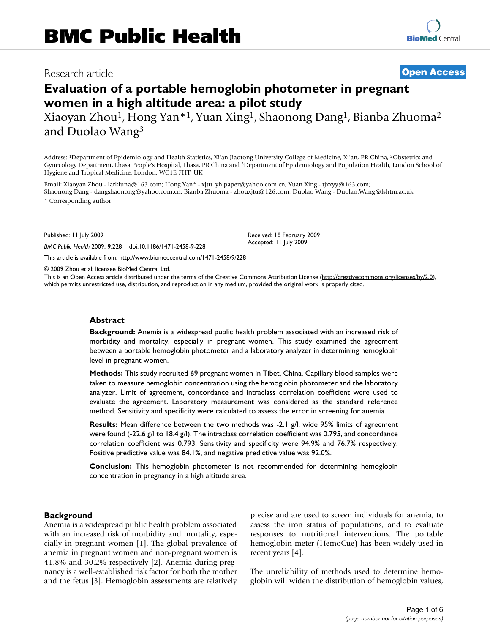## Research article **[Open Access](http://www.biomedcentral.com/info/about/charter/)**

# **Evaluation of a portable hemoglobin photometer in pregnant women in a high altitude area: a pilot study**

Xiaoyan Zhou1, Hong Yan\*1, Yuan Xing1, Shaonong Dang1, Bianba Zhuoma2 and Duolao Wang3

Address: 1Department of Epidemiology and Health Statistics, Xi'an Jiaotong University College of Medicine, Xi'an, PR China, 2Obstetrics and Gynecology Department, Lhasa People's Hospital, Lhasa, PR China and 3Department of Epidemiology and Population Health, London School of Hygiene and Tropical Medicine, London, WC1E 7HT, UK

Email: Xiaoyan Zhou - larkluna@163.com; Hong Yan\* - xjtu\_yh.paper@yahoo.com.cn; Yuan Xing - tjxxyy@163.com; Shaonong Dang - dangshaonong@yahoo.com.cn; Bianba Zhuoma - zhouxjtu@126.com; Duolao Wang - Duolao.Wang@lshtm.ac.uk \* Corresponding author

Published: 11 July 2009

*BMC Public Health* 2009, **9**:228 doi:10.1186/1471-2458-9-228

[This article is available from: http://www.biomedcentral.com/1471-2458/9/228](http://www.biomedcentral.com/1471-2458/9/228)

© 2009 Zhou et al; licensee BioMed Central Ltd.

This is an Open Access article distributed under the terms of the Creative Commons Attribution License [\(http://creativecommons.org/licenses/by/2.0\)](http://creativecommons.org/licenses/by/2.0), which permits unrestricted use, distribution, and reproduction in any medium, provided the original work is properly cited.

Received: 18 February 2009 Accepted: 11 July 2009

#### **Abstract**

**Background:** Anemia is a widespread public health problem associated with an increased risk of morbidity and mortality, especially in pregnant women. This study examined the agreement between a portable hemoglobin photometer and a laboratory analyzer in determining hemoglobin level in pregnant women.

**Methods:** This study recruited 69 pregnant women in Tibet, China. Capillary blood samples were taken to measure hemoglobin concentration using the hemoglobin photometer and the laboratory analyzer. Limit of agreement, concordance and intraclass correlation coefficient were used to evaluate the agreement. Laboratory measurement was considered as the standard reference method. Sensitivity and specificity were calculated to assess the error in screening for anemia.

**Results:** Mean difference between the two methods was -2.1 g/l. wide 95% limits of agreement were found (-22.6 g/l to 18.4 g/l). The intraclass correlation coefficient was 0.795, and concordance correlation coefficient was 0.793. Sensitivity and specificity were 94.9% and 76.7% respectively. Positive predictive value was 84.1%, and negative predictive value was 92.0%.

**Conclusion:** This hemoglobin photometer is not recommended for determining hemoglobin concentration in pregnancy in a high altitude area.

#### **Background**

Anemia is a widespread public health problem associated with an increased risk of morbidity and mortality, especially in pregnant women [1]. The global prevalence of anemia in pregnant women and non-pregnant women is 41.8% and 30.2% respectively [2]. Anemia during pregnancy is a well-established risk factor for both the mother and the fetus [3]. Hemoglobin assessments are relatively precise and are used to screen individuals for anemia, to assess the iron status of populations, and to evaluate responses to nutritional interventions. The portable hemoglobin meter (HemoCue) has been widely used in recent years [4].

The unreliability of methods used to determine hemoglobin will widen the distribution of hemoglobin values,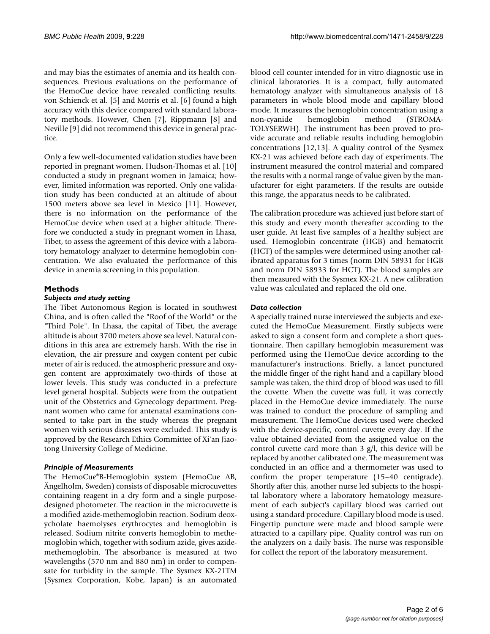and may bias the estimates of anemia and its health consequences. Previous evaluations on the performance of the HemoCue device have revealed conflicting results. von Schienck et al. [5] and Morris et al. [6] found a high accuracy with this device compared with standard laboratory methods. However, Chen [7], Rippmann [8] and Neville [9] did not recommend this device in general practice.

Only a few well-documented validation studies have been reported in pregnant women. Hudson-Thomas et al. [10] conducted a study in pregnant women in Jamaica; however, limited information was reported. Only one validation study has been conducted at an altitude of about 1500 meters above sea level in Mexico [11]. However, there is no information on the performance of the HemoCue device when used at a higher altitude. Therefore we conducted a study in pregnant women in Lhasa, Tibet, to assess the agreement of this device with a laboratory hematology analyzer to determine hemoglobin concentration. We also evaluated the performance of this device in anemia screening in this population.

### **Methods**

#### *Subjects and study setting*

The Tibet Autonomous Region is located in southwest China, and is often called the "Roof of the World" or the "Third Pole". In Lhasa, the capital of Tibet, the average altitude is about 3700 meters above sea level. Natural conditions in this area are extremely harsh. With the rise in elevation, the air pressure and oxygen content per cubic meter of air is reduced, the atmospheric pressure and oxygen content are approximately two-thirds of those at lower levels. This study was conducted in a prefecture level general hospital. Subjects were from the outpatient unit of the Obstetrics and Gynecology department. Pregnant women who came for antenatal examinations consented to take part in the study whereas the pregnant women with serious diseases were excluded. This study is approved by the Research Ethics Committee of Xi'an Jiaotong University College of Medicine.

### *Principle of Measurements*

The HemoCue®B-Hemoglobin system (HemoCue AB, Ängelholm, Sweden) consists of disposable microcuvettes containing reagent in a dry form and a single purposedesigned photometer. The reaction in the microcuvette is a modified azide-methemoglobin reaction. Sodium deoxycholate haemolyses erythrocytes and hemoglobin is released. Sodium nitrite converts hemoglobin to methemoglobin which, together with sodium azide, gives azidemethemoglobin. The absorbance is measured at two wavelengths (570 nm and 880 nm) in order to compensate for turbidity in the sample. The Sysmex KX-21TM (Sysmex Corporation, Kobe, Japan) is an automated

blood cell counter intended for in vitro diagnostic use in clinical laboratories. It is a compact, fully automated hematology analyzer with simultaneous analysis of 18 parameters in whole blood mode and capillary blood mode. It measures the hemoglobin concentration using a non-cyanide hemoglobin method (STROMA-TOLYSERWH). The instrument has been proved to provide accurate and reliable results including hemoglobin concentrations [12,13]. A quality control of the Sysmex KX-21 was achieved before each day of experiments. The instrument measured the control material and compared the results with a normal range of value given by the manufacturer for eight parameters. If the results are outside this range, the apparatus needs to be calibrated.

The calibration procedure was achieved just before start of this study and every month thereafter according to the user guide. At least five samples of a healthy subject are used. Hemoglobin concentrate (HGB) and hematocrit (HCT) of the samples were determined using another calibrated apparatus for 3 times (norm DIN 58931 for HGB and norm DIN 58933 for HCT). The blood samples are then measured with the Sysmex KX-21. A new calibration value was calculated and replaced the old one.

#### *Data collection*

A specially trained nurse interviewed the subjects and executed the HemoCue Measurement. Firstly subjects were asked to sign a consent form and complete a short questionnaire. Then capillary hemoglobin measurement was performed using the HemoCue device according to the manufacturer's instructions. Briefly, a lancet punctured the middle finger of the right hand and a capillary blood sample was taken, the third drop of blood was used to fill the cuvette. When the cuvette was full, it was correctly placed in the HemoCue device immediately. The nurse was trained to conduct the procedure of sampling and measurement. The HemoCue devices used were checked with the device-specific, control cuvette every day. If the value obtained deviated from the assigned value on the control cuvette card more than 3 g/l, this device will be replaced by another calibrated one. The measurement was conducted in an office and a thermometer was used to confirm the proper temperature (15–40 centigrade). Shortly after this, another nurse led subjects to the hospital laboratory where a laboratory hematology measurement of each subject's capillary blood was carried out using a standard procedure. Capillary blood mode is used. Fingertip puncture were made and blood sample were attracted to a capillary pipe. Quality control was run on the analyzers on a daily basis. The nurse was responsible for collect the report of the laboratory measurement.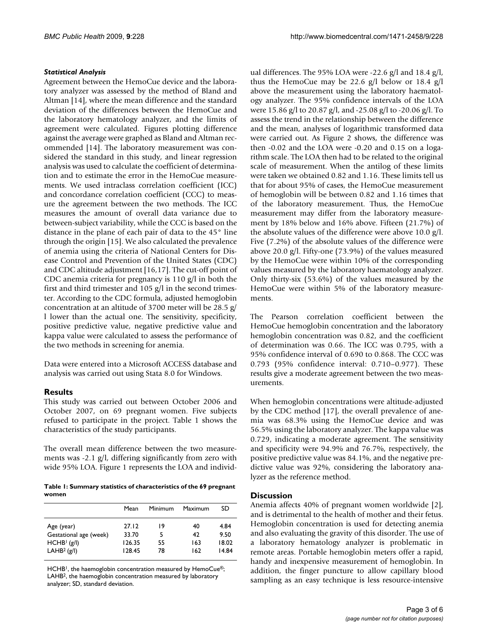#### *Statistical Analysis*

Agreement between the HemoCue device and the laboratory analyzer was assessed by the method of Bland and Altman [14], where the mean difference and the standard deviation of the differences between the HemoCue and the laboratory hematology analyzer, and the limits of agreement were calculated. Figures plotting difference against the average were graphed as Bland and Altman recommended [14]. The laboratory measurement was considered the standard in this study, and linear regression analysis was used to calculate the coefficient of determination and to estimate the error in the HemoCue measurements. We used intraclass correlation coefficient (ICC) and concordance correlation coefficient (CCC) to measure the agreement between the two methods. The ICC measures the amount of overall data variance due to between-subject variability, while the CCC is based on the distance in the plane of each pair of data to the 45° line through the origin [15]. We also calculated the prevalence of anemia using the criteria of National Centers for Disease Control and Prevention of the United States (CDC) and CDC altitude adjustment [16,17]. The cut-off point of CDC anemia criteria for pregnancy is 110 g/l in both the first and third trimester and 105 g/l in the second trimester. According to the CDC formula, adjusted hemoglobin concentration at an altitude of 3700 meter will be 28.5 g/ l lower than the actual one. The sensitivity, specificity, positive predictive value, negative predictive value and kappa value were calculated to assess the performance of the two methods in screening for anemia.

Data were entered into a Microsoft ACCESS database and analysis was carried out using Stata 8.0 for Windows.

### **Results**

This study was carried out between October 2006 and October 2007, on 69 pregnant women. Five subjects refused to participate in the project. Table 1 shows the characteristics of the study participants.

The overall mean difference between the two measurements was -2.1 g/l, differing significantly from zero with wide 95% LOA. Figure 1 represents the LOA and individ-

**Table 1: Summary statistics of characteristics of the 69 pregnant women**

|                         | Mean   | Minimum | Maximum | SD.   |
|-------------------------|--------|---------|---------|-------|
| Age (year)              | 27.12  | 19      | 40      | 4.84  |
| Gestational age (week)  | 33.70  | 5       | 42      | 9.50  |
| HCHB <sup>1</sup> (g/l) | 126.35 | 55      | 163     | 18.02 |
| LAHB <sup>2</sup> (g/l) | 128.45 | 78      | 162     | 14.84 |

HCHB<sup>1</sup>, the haemoglobin concentration measured by HemoCue®; LAHB2, the haemoglobin concentration measured by laboratory analyzer; SD, standard deviation.

ual differences. The 95% LOA were -22.6 g/l and 18.4 g/l, thus the HemoCue may be 22.6 g/l below or 18.4 g/l above the measurement using the laboratory haematology analyzer. The 95% confidence intervals of the LOA were 15.86 g/l to 20.87 g/l, and -25.08 g/l to -20.06 g/l. To assess the trend in the relationship between the difference and the mean, analyses of logarithmic transformed data were carried out. As Figure 2 shows, the difference was then -0.02 and the LOA were -0.20 and 0.15 on a logarithm scale. The LOA then had to be related to the original scale of measurement. When the antilog of these limits were taken we obtained 0.82 and 1.16. These limits tell us that for about 95% of cases, the HemoCue measurement of hemoglobin will be between 0.82 and 1.16 times that of the laboratory measurement. Thus, the HemoCue measurement may differ from the laboratory measurement by 18% below and 16% above. Fifteen (21.7%) of the absolute values of the difference were above 10.0 g/l. Five (7.2%) of the absolute values of the difference were above 20.0 g/l. Fifty-one (73.9%) of the values measured by the HemoCue were within 10% of the corresponding values measured by the laboratory haematology analyzer. Only thirty-six (53.6%) of the values measured by the HemoCue were within 5% of the laboratory measurements.

The Pearson correlation coefficient between the HemoCue hemoglobin concentration and the laboratory hemoglobin concentration was 0.82, and the coefficient of determination was 0.66. The ICC was 0.795, with a 95% confidence interval of 0.690 to 0.868. The CCC was 0.793 (95% confidence interval: 0.710–0.977). These results give a moderate agreement between the two measurements.

When hemoglobin concentrations were altitude-adjusted by the CDC method [17], the overall prevalence of anemia was 68.3% using the HemoCue device and was 56.5% using the laboratory analyzer. The kappa value was 0.729, indicating a moderate agreement. The sensitivity and specificity were 94.9% and 76.7%, respectively, the positive predictive value was 84.1%, and the negative predictive value was 92%, considering the laboratory analyzer as the reference method.

#### **Discussion**

Anemia affects 40% of pregnant women worldwide [2], and is detrimental to the health of mother and their fetus. Hemoglobin concentration is used for detecting anemia and also evaluating the gravity of this disorder. The use of a laboratory hematology analyzer is problematic in remote areas. Portable hemoglobin meters offer a rapid, handy and inexpensive measurement of hemoglobin. In addition, the finger puncture to allow capillary blood sampling as an easy technique is less resource-intensive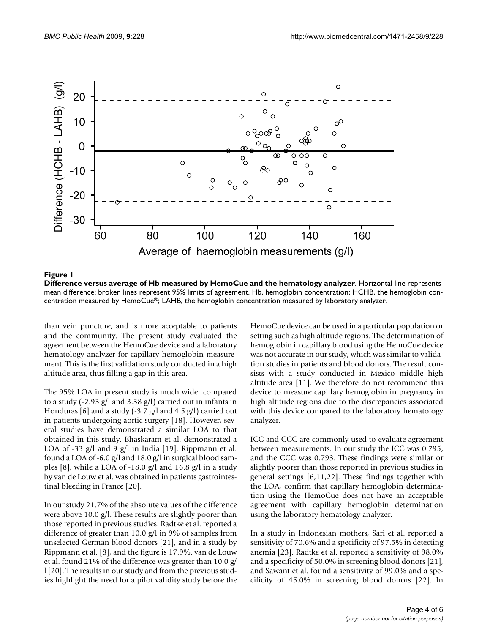

**Difference versus average of Hb measured by HemoCue and the hematology analyzer**. Horizontal line represents mean difference; broken lines represent 95% limits of agreement. Hb, hemoglobin concentration; HCHB, the hemoglobin con-

than vein puncture, and is more acceptable to patients and the community. The present study evaluated the agreement between the HemoCue device and a laboratory hematology analyzer for capillary hemoglobin measurement. This is the first validation study conducted in a high altitude area, thus filling a gap in this area.

The 95% LOA in present study is much wider compared to a study (-2.93 g/l and 3.38 g/l) carried out in infants in Honduras [6] and a study (-3.7 g/l and 4.5 g/l) carried out in patients undergoing aortic surgery [18]. However, several studies have demonstrated a similar LOA to that obtained in this study. Bhaskaram et al. demonstrated a LOA of -33  $g/l$  and 9  $g/l$  in India [19]. Rippmann et al. found a LOA of -6.0 g/l and 18.0 g/l in surgical blood samples [8], while a LOA of -18.0 g/l and 16.8 g/l in a study by van de Louw et al. was obtained in patients gastrointestinal bleeding in France [20].

In our study 21.7% of the absolute values of the difference were above 10.0 g/l. These results are slightly poorer than those reported in previous studies. Radtke et al. reported a difference of greater than 10.0 g/l in 9% of samples from unselected German blood donors [21], and in a study by Rippmann et al. [8], and the figure is 17.9%. van de Louw et al. found 21% of the difference was greater than 10.0 g/ l [20]. The results in our study and from the previous studies highlight the need for a pilot validity study before the HemoCue device can be used in a particular population or setting such as high altitude regions. The determination of hemoglobin in capillary blood using the HemoCue device was not accurate in our study, which was similar to validation studies in patients and blood donors. The result consists with a study conducted in Mexico middle high altitude area [11]. We therefore do not recommend this device to measure capillary hemoglobin in pregnancy in high altitude regions due to the discrepancies associated with this device compared to the laboratory hematology analyzer.

ICC and CCC are commonly used to evaluate agreement between measurements. In our study the ICC was 0.795, and the CCC was 0.793. These findings were similar or slightly poorer than those reported in previous studies in general settings [6,11,22]. These findings together with the LOA, confirm that capillary hemoglobin determination using the HemoCue does not have an acceptable agreement with capillary hemoglobin determination using the laboratory hematology analyzer.

In a study in Indonesian mothers, Sari et al. reported a sensitivity of 70.6% and a specificity of 97.5% in detecting anemia [23]. Radtke et al. reported a sensitivity of 98.0% and a specificity of 50.0% in screening blood donors [21], and Sawant et al. found a sensitivity of 99.0% and a specificity of 45.0% in screening blood donors [22]. In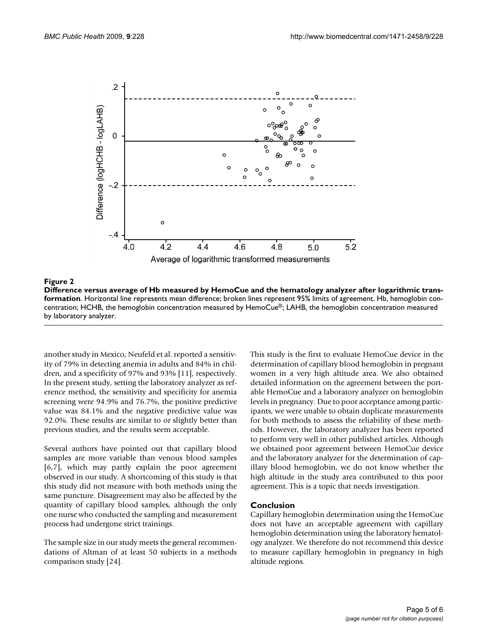

#### **Figure 2** Difference versus average of Hb measured by Hemocue and the hematology analyzer after logarithmic tra

**Difference versus average of Hb measured by HemoCue and the hematology analyzer after logarithmic transformation**. Horizontal line represents mean difference; broken lines represent 95% limits of agreement. Hb, hemoglobin concentration; HCHB, the hemoglobin concentration measured by HemoCue®; LAHB, the hemoglobin concentration measured by laboratory analyzer.

another study in Mexico, Neufeld et al. reported a sensitivity of 79% in detecting anemia in adults and 84% in children, and a specificity of 97% and 93% [11], respectively. In the present study, setting the laboratory analyzer as reference method, the sensitivity and specificity for anemia screening were 94.9% and 76.7%, the positive predictive value was 84.1% and the negative predictive value was 92.0%. These results are similar to or slightly better than previous studies, and the results seem acceptable.

Several authors have pointed out that capillary blood samples are more variable than venous blood samples [6,7], which may partly explain the poor agreement observed in our study. A shortcoming of this study is that this study did not measure with both methods using the same puncture. Disagreement may also be affected by the quantity of capillary blood samples, although the only one nurse who conducted the sampling and measurement process had undergone strict trainings.

The sample size in our study meets the general recommendations of Altman of at least 50 subjects in a methods comparison study [24].

This study is the first to evaluate HemoCue device in the determination of capillary blood hemoglobin in pregnant women in a very high altitude area. We also obtained detailed information on the agreement between the portable HemoCue and a laboratory analyzer on hemoglobin levels in pregnancy. Due to poor acceptance among participants, we were unable to obtain duplicate measurements for both methods to assess the reliability of these methods. However, the laboratory analyzer has been reported to perform very well in other published articles. Although we obtained poor agreement between HemoCue device and the laboratory analyzer for the determination of capillary blood hemoglobin, we do not know whether the high altitude in the study area contributed to this poor agreement. This is a topic that needs investigation.

#### **Conclusion**

Capillary hemoglobin determination using the HemoCue does not have an acceptable agreement with capillary hemoglobin determination using the laboratory hematology analyzer. We therefore do not recommend this device to measure capillary hemoglobin in pregnancy in high altitude regions.